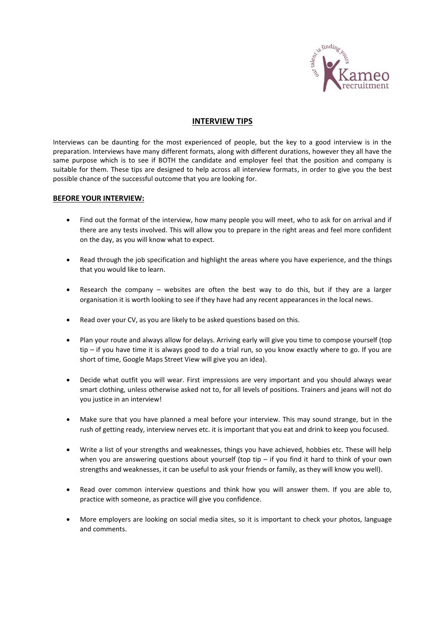

# **INTERVIEW TIPS**

Interviews can be daunting for the most experienced of people, but the key to a good interview is in the preparation. Interviews have many different formats, along with different durations, however they all have the same purpose which is to see if BOTH the candidate and employer feel that the position and company is suitable for them. These tips are designed to help across all interview formats, in order to give you the best possible chance of the successful outcome that you are looking for.

### **BEFORE YOUR INTERVIEW:**

- Find out the format of the interview, how many people you will meet, who to ask for on arrival and if there are any tests involved. This will allow you to prepare in the right areas and feel more confident on the day, as you will know what to expect.
- Read through the job specification and highlight the areas where you have experience, and the things that you would like to learn.
- Research the company websites are often the best way to do this, but if they are a larger organisation it is worth looking to see if they have had any recent appearances in the local news.
- Read over your CV, as you are likely to be asked questions based on this.
- Plan your route and always allow for delays. Arriving early will give you time to compose yourself (top tip – if you have time it is always good to do a trial run, so you know exactly where to go. If you are short of time, Google Maps Street View will give you an idea).
- Decide what outfit you will wear. First impressions are very important and you should always wear smart clothing, unless otherwise asked not to, for all levels of positions. Trainers and jeans will not do you justice in an interview!
- Make sure that you have planned a meal before your interview. This may sound strange, but in the rush of getting ready, interview nerves etc. it is important that you eat and drink to keep you focused.
- Write a list of your strengths and weaknesses, things you have achieved, hobbies etc. These will help when you are answering questions about yourself (top tip – if you find it hard to think of your own strengths and weaknesses, it can be useful to ask your friends or family, as they will know you well).
- Read over common interview questions and think how you will answer them. If you are able to, practice with someone, as practice will give you confidence.
- More employers are looking on social media sites, so it is important to check your photos, language and comments.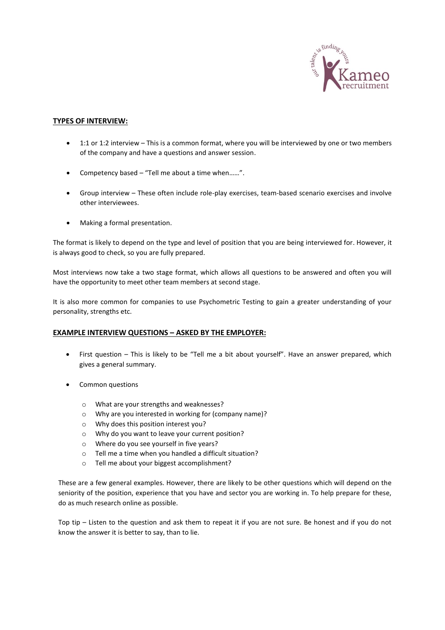

## **TYPES OF INTERVIEW:**

- 1:1 or 1:2 interview This is a common format, where you will be interviewed by one or two members of the company and have a questions and answer session.
- Competency based "Tell me about a time when……".
- Group interview These often include role-play exercises, team-based scenario exercises and involve other interviewees.
- Making a formal presentation.

The format is likely to depend on the type and level of position that you are being interviewed for. However, it is always good to check, so you are fully prepared.

Most interviews now take a two stage format, which allows all questions to be answered and often you will have the opportunity to meet other team members at second stage.

It is also more common for companies to use Psychometric Testing to gain a greater understanding of your personality, strengths etc.

### **EXAMPLE INTERVIEW QUESTIONS – ASKED BY THE EMPLOYER:**

- First question This is likely to be "Tell me a bit about yourself". Have an answer prepared, which gives a general summary.
- Common questions
	- o What are your strengths and weaknesses?
	- o Why are you interested in working for (company name)?
	- o Why does this position interest you?
	- o Why do you want to leave your current position?
	- o Where do you see yourself in five years?
	- o Tell me a time when you handled a difficult situation?
	- o Tell me about your biggest accomplishment?

These are a few general examples. However, there are likely to be other questions which will depend on the seniority of the position, experience that you have and sector you are working in. To help prepare for these, do as much research online as possible.

Top tip – Listen to the question and ask them to repeat it if you are not sure. Be honest and if you do not know the answer it is better to say, than to lie.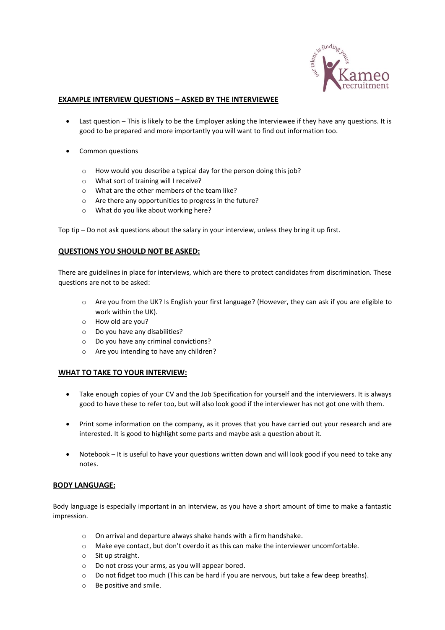

### **EXAMPLE INTERVIEW QUESTIONS – ASKED BY THE INTERVIEWEE**

- Last question This is likely to be the Employer asking the Interviewee if they have any questions. It is good to be prepared and more importantly you will want to find out information too.
- Common questions
	- o How would you describe a typical day for the person doing this job?
	- o What sort of training will I receive?
	- o What are the other members of the team like?
	- o Are there any opportunities to progress in the future?
	- o What do you like about working here?

Top tip – Do not ask questions about the salary in your interview, unless they bring it up first.

### **QUESTIONS YOU SHOULD NOT BE ASKED:**

There are guidelines in place for interviews, which are there to protect candidates from discrimination. These questions are not to be asked:

- o Are you from the UK? Is English your first language? (However, they can ask if you are eligible to work within the UK).
- o How old are you?
- o Do you have any disabilities?
- o Do you have any criminal convictions?
- o Are you intending to have any children?

### **WHAT TO TAKE TO YOUR INTERVIEW:**

- Take enough copies of your CV and the Job Specification for yourself and the interviewers. It is always good to have these to refer too, but will also look good if the interviewer has not got one with them.
- Print some information on the company, as it proves that you have carried out your research and are interested. It is good to highlight some parts and maybe ask a question about it.
- Notebook It is useful to have your questions written down and will look good if you need to take any notes.

### **BODY LANGUAGE:**

Body language is especially important in an interview, as you have a short amount of time to make a fantastic impression.

- o On arrival and departure always shake hands with a firm handshake.
- o Make eye contact, but don't overdo it as this can make the interviewer uncomfortable.
- o Sit up straight.
- o Do not cross your arms, as you will appear bored.
- o Do not fidget too much (This can be hard if you are nervous, but take a few deep breaths).
- o Be positive and smile.